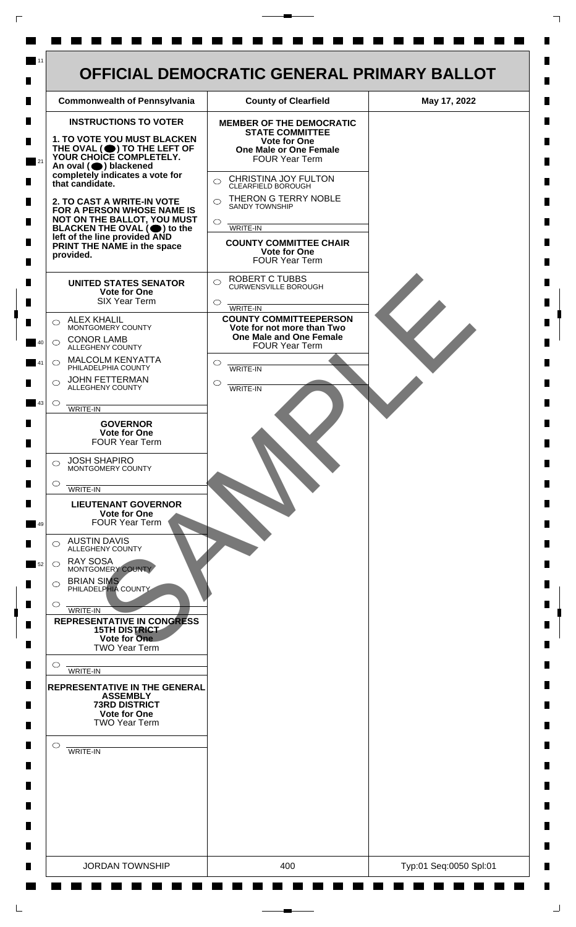

 $\mathsf{L}$